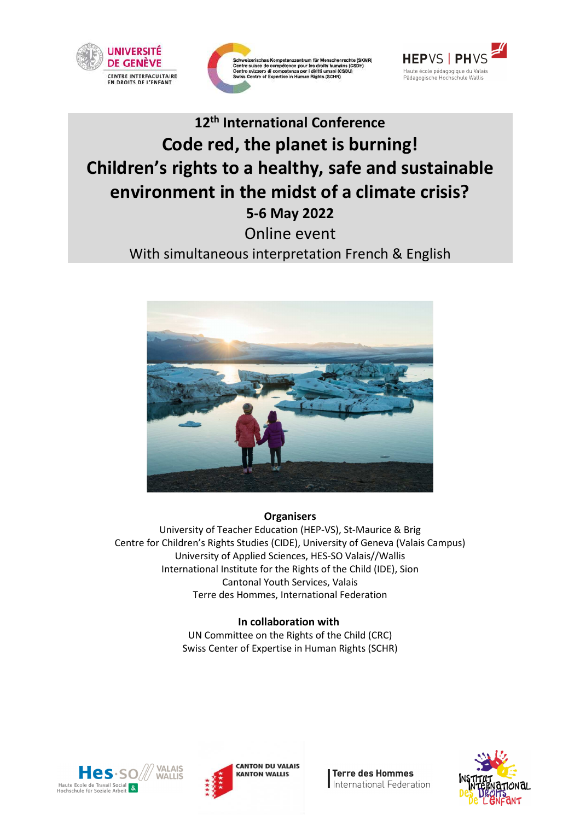





# **12th International Conference Code red, the planet is burning! Children's rights to a healthy, safe and sustainable environment in the midst of a climate crisis? 5-6 May 2022** Online event

With simultaneous interpretation French & English



## **Organisers**

University of Teacher Education (HEP-VS), St-Maurice & Brig Centre for Children's Rights Studies (CIDE), University of Geneva (Valais Campus) University of Applied Sciences, HES-SO Valais//Wallis International Institute for the Rights of the Child (IDE), Sion Cantonal Youth Services, Valais Terre des Hommes, International Federation

## **In collaboration with**

UN Committee on the Rights of the Child (CRC) Swiss Center of Expertise in Human Rights (SCHR)





**Terre des Hommes** International Federation

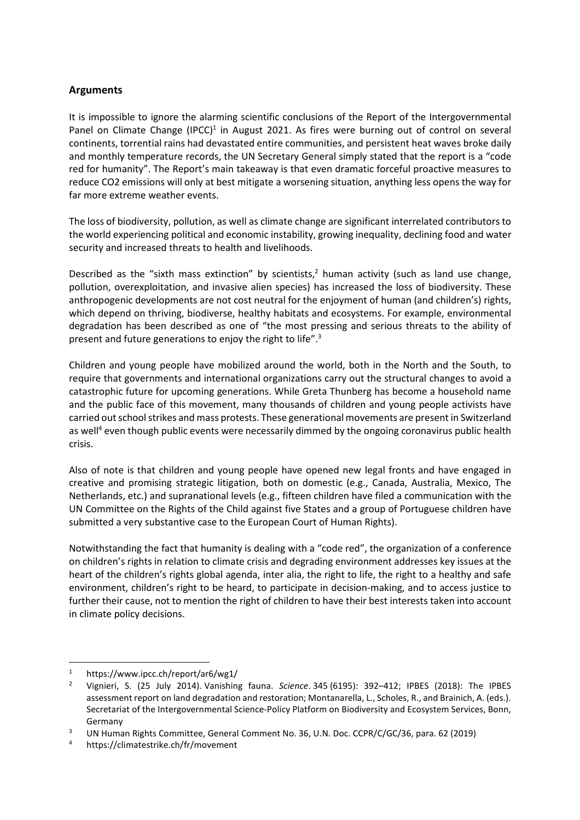### **Arguments**

It is impossible to ignore the alarming scientific conclusions of the Report of the Intergovernmental Panel on Climate Change (IPCC)<sup>1</sup> in August 2021. As fires were burning out of control on several continents, torrential rains had devastated entire communities, and persistent heat waves broke daily and monthly temperature records, the UN Secretary General simply stated that the report is a "code red for humanity". The Report's main takeaway is that even dramatic forceful proactive measures to reduce CO2 emissions will only at best mitigate a worsening situation, anything less opens the way for far more extreme weather events.

The loss of biodiversity, pollution, as well as climate change are significant interrelated contributors to the world experiencing political and economic instability, growing inequality, declining food and water security and increased threats to health and livelihoods.

Described as the "sixth mass extinction" by scientists,<sup>2</sup> human activity (such as land use change, pollution, overexploitation, and invasive alien species) has increased the loss of biodiversity. These anthropogenic developments are not cost neutral for the enjoyment of human (and children's) rights, which depend on thriving, biodiverse, healthy habitats and ecosystems. For example, environmental degradation has been described as one of "the most pressing and serious threats to the ability of present and future generations to enjoy the right to life".<sup>3</sup>

Children and young people have mobilized around the world, both in the North and the South, to require that governments and international organizations carry out the structural changes to avoid a catastrophic future for upcoming generations. While Greta Thunberg has become a household name and the public face of this movement, many thousands of children and young people activists have carried out school strikes and mass protests. These generational movements are present in Switzerland as well<sup>4</sup> even though public events were necessarily dimmed by the ongoing coronavirus public health crisis.

Also of note is that children and young people have opened new legal fronts and have engaged in creative and promising strategic litigation, both on domestic (e.g., Canada, Australia, Mexico, The Netherlands, etc.) and supranational levels (e.g., fifteen children have filed a communication with the UN Committee on the Rights of the Child against five States and a group of Portuguese children have submitted a very substantive case to the European Court of Human Rights).

Notwithstanding the fact that humanity is dealing with a "code red", the organization of a conference on children's rights in relation to climate crisis and degrading environment addresses key issues at the heart of the children's rights global agenda, inter alia, the right to life, the right to a healthy and safe environment, children's right to be heard, to participate in decision-making, and to access justice to further their cause, not to mention the right of children to have their best interests taken into account in climate policy decisions.

 $\overline{a}$ 

<sup>1</sup> https://www.ipcc.ch/report/ar6/wg1/

<sup>2</sup> Vignieri, S. (25 July 2014). Vanishing fauna. *Science*. 345 (6195): 392–412; IPBES (2018): The IPBES assessment report on land degradation and restoration; Montanarella, L., Scholes, R., and Brainich, A. (eds.). Secretariat of the Intergovernmental Science-Policy Platform on Biodiversity and Ecosystem Services, Bonn, Germany

<sup>3</sup> UN Human Rights Committee, General Comment No. 36, U.N. Doc. CCPR/C/GC/36, para. 62 (2019)

<sup>4</sup> https://climatestrike.ch/fr/movement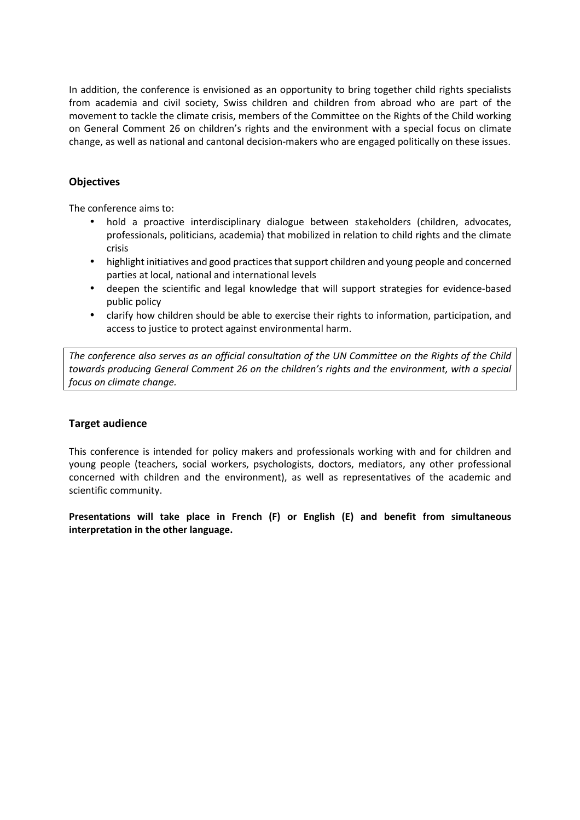In addition, the conference is envisioned as an opportunity to bring together child rights specialists from academia and civil society, Swiss children and children from abroad who are part of the movement to tackle the climate crisis, members of the Committee on the Rights of the Child working on General Comment 26 on children's rights and the environment with a special focus on climate change, as well as national and cantonal decision-makers who are engaged politically on these issues.

### **Objectives**

The conference aims to:

- hold a proactive interdisciplinary dialogue between stakeholders (children, advocates, professionals, politicians, academia) that mobilized in relation to child rights and the climate crisis
- highlight initiatives and good practices that support children and young people and concerned parties at local, national and international levels
- deepen the scientific and legal knowledge that will support strategies for evidence-based public policy
- clarify how children should be able to exercise their rights to information, participation, and access to justice to protect against environmental harm.

*The conference also serves as an official consultation of the UN Committee on the Rights of the Child towards producing General Comment 26 on the children's rights and the environment, with a special focus on climate change.* 

#### **Target audience**

This conference is intended for policy makers and professionals working with and for children and young people (teachers, social workers, psychologists, doctors, mediators, any other professional concerned with children and the environment), as well as representatives of the academic and scientific community.

**Presentations will take place in French (F) or English (E) and benefit from simultaneous interpretation in the other language.**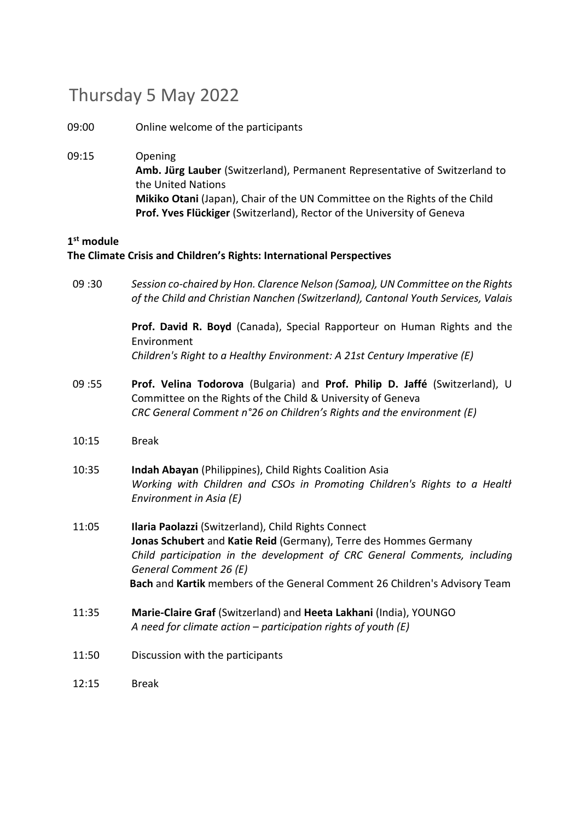## Thursday 5 May 2022

09:00 Online welcome of the participants

09:15 Opening **Amb. Jürg Lauber** (Switzerland), Permanent Representative of Switzerland to the United Nations **Mikiko Otani** (Japan), Chair of the UN Committee on the Rights of the Child **Prof. Yves Flückiger** (Switzerland), Rector of the University of Geneva

## **1 st module**

## **The Climate Crisis and Children's Rights: International Perspectives**

09 :30 *Session co-chaired by Hon. Clarence Nelson (Samoa), UN Committee on the Rights of the Child and Christian Nanchen (Switzerland), Cantonal Youth Services, Valais*

> **Prof. David R. Boyd** (Canada), Special Rapporteur on Human Rights and the Environment *Children's Right to a Healthy Environment: A 21st Century Imperative (E)*

- 09 :55 **Prof. Velina Todorova** (Bulgaria) and **Prof. Philip D. Jaffé** (Switzerland), UN Committee on the Rights of the Child & University of Geneva *CRC General Comment n°26 on Children's Rights and the environment (E)*
- 10:15 Break
- 10:35 **Indah Abayan** (Philippines), Child Rights Coalition Asia *Working with Children and CSOs in Promoting Children's Rights to a Health Environment in Asia (E)*
- 11:05 **Ilaria Paolazzi** (Switzerland), Child Rights Connect **Jonas Schubert** and **Katie Reid** (Germany), Terre des Hommes Germany *Child participation in the development of CRC General Comments, including General Comment 26 (E)*  **Bach** and **Kartik** members of the General Comment 26 Children's Advisory Team
- 11:35 **Marie-Claire Graf** (Switzerland) and **Heeta Lakhani** (India), YOUNGO *A need for climate action – participation rights of youth (E)*
- 11:50 Discussion with the participants
- 12:15 Break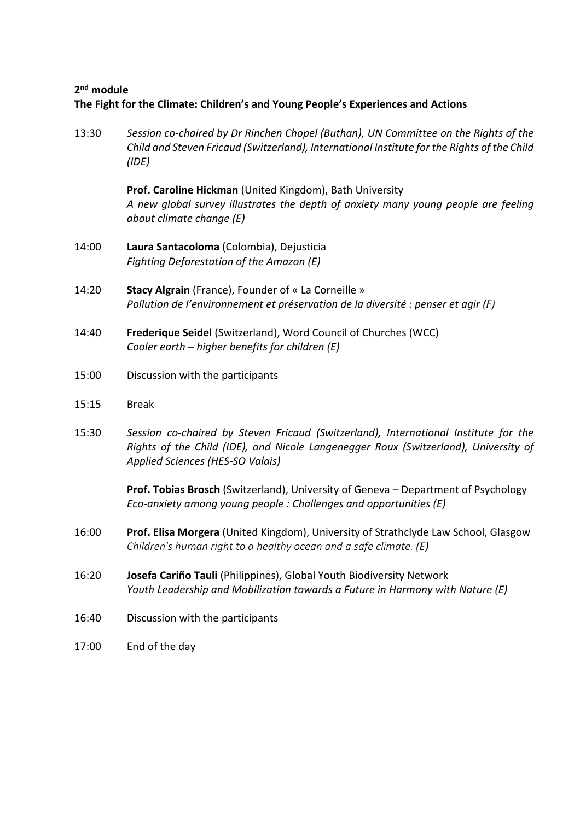## **2 nd module The Fight for the Climate: Children's and Young People's Experiences and Actions**

13:30 *Session co-chaired by Dr Rinchen Chopel (Buthan), UN Committee on the Rights of the Child and Steven Fricaud (Switzerland), International Institute for the Rights of the Child (IDE)* 

> **Prof. Caroline Hickman** (United Kingdom), Bath University *A new global survey illustrates the depth of anxiety many young people are feeling about climate change (E)*

- 14:00 **Laura Santacoloma** (Colombia), Dejusticia *Fighting Deforestation of the Amazon (E)*
- 14:20 **Stacy Algrain** (France), Founder of « La Corneille » *Pollution de l'environnement et préservation de la diversité : penser et agir (F)*
- 14:40 **Frederique Seidel** (Switzerland), Word Council of Churches (WCC) *Cooler earth – higher benefits for children (E)*
- 15:00 Discussion with the participants
- 15:15 Break
- 15:30 *Session co-chaired by Steven Fricaud (Switzerland), International Institute for the Rights of the Child (IDE), and Nicole Langenegger Roux (Switzerland), University of Applied Sciences (HES-SO Valais)*

**Prof. Tobias Brosch** (Switzerland), University of Geneva – Department of Psychology *Eco-anxiety among young people : Challenges and opportunities (E)* 

- 16:00 **Prof. Elisa Morgera** (United Kingdom), University of Strathclyde Law School, Glasgow *Children's human right to a healthy ocean and a safe climate. (E)*
- 16:20 **Josefa Cariño Tauli** (Philippines), Global Youth Biodiversity Network *Youth Leadership and Mobilization towards a Future in Harmony with Nature (E)*
- 16:40 Discussion with the participants
- 17:00 End of the day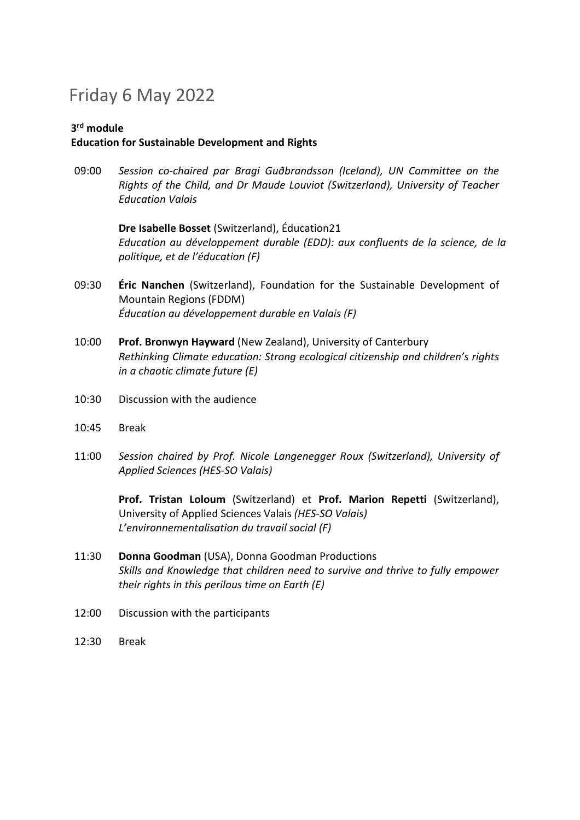# Friday 6 May 2022

### **3 rd module Education for Sustainable Development and Rights**

09:00 *Session co-chaired par Bragi Guðbrandsson (Iceland), UN Committee on the Rights of the Child, and Dr Maude Louviot (Switzerland), University of Teacher Education Valais*

> **Dre Isabelle Bosset** (Switzerland), Éducation21 *Education au développement durable (EDD): aux confluents de la science, de la politique, et de l'éducation (F)*

- 09:30 **Éric Nanchen** (Switzerland), Foundation for the Sustainable Development of Mountain Regions (FDDM) *Éducation au développement durable en Valais (F)*
- 10:00 **Prof. Bronwyn Hayward** (New Zealand), University of Canterbury *Rethinking Climate education: Strong ecological citizenship and children's rights in a chaotic climate future (E)*
- 10:30 Discussion with the audience
- 10:45 Break
- 11:00 *Session chaired by Prof. Nicole Langenegger Roux (Switzerland), University of Applied Sciences (HES-SO Valais)*

**Prof. Tristan Loloum** (Switzerland) et **Prof. Marion Repetti** (Switzerland), University of Applied Sciences Valais *(HES-SO Valais) L'environnementalisation du travail social (F)* 

- 11:30 **Donna Goodman** (USA), Donna Goodman Productions *Skills and Knowledge that children need to survive and thrive to fully empower their rights in this perilous time on Earth (E)*
- 12:00 Discussion with the participants
- 12:30 Break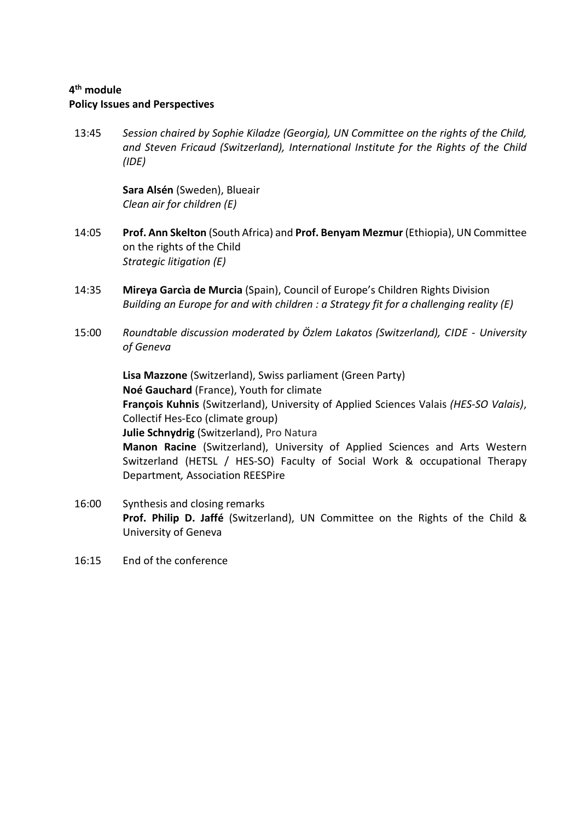## **4 th module**

#### **Policy Issues and Perspectives**

13:45 *Session chaired by Sophie Kiladze (Georgia), UN Committee on the rights of the Child, and Steven Fricaud (Switzerland), International Institute for the Rights of the Child (IDE)* 

> **Sara Alsén** (Sweden), Blueair *Clean air for children (E)*

- 14:05 **Prof. Ann Skelton** (South Africa) and **Prof. Benyam Mezmur** (Ethiopia), UN Committee on the rights of the Child *Strategic litigation (E)*
- 14:35 **Mireya Garcìa de Murcia** (Spain), Council of Europe's Children Rights Division *Building an Europe for and with children : a Strategy fit for a challenging reality (E)*
- 15:00 *Roundtable discussion moderated by Özlem Lakatos (Switzerland), CIDE University of Geneva*

**Lisa Mazzone** (Switzerland), Swiss parliament (Green Party) **Noé Gauchard** (France), Youth for climate **François Kuhnis** (Switzerland), University of Applied Sciences Valais *(HES-SO Valais)*, Collectif Hes-Eco (climate group) **Julie Schnydrig** (Switzerland), Pro Natura **Manon Racine** (Switzerland), University of Applied Sciences and Arts Western Switzerland (HETSL / HES-SO) Faculty of Social Work & occupational Therapy Department*,* Association REESPire

- 16:00 Synthesis and closing remarks **Prof. Philip D. Jaffé** (Switzerland), UN Committee on the Rights of the Child & University of Geneva
- 16:15 End of the conference